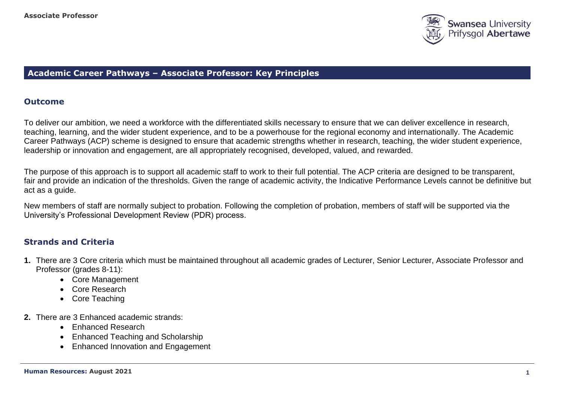

## **Academic Career Pathways – Associate Professor: Key Principles**

## **Outcome**

To deliver our ambition, we need a workforce with the differentiated skills necessary to ensure that we can deliver excellence in research, teaching, learning, and the wider student experience, and to be a powerhouse for the regional economy and internationally. The Academic Career Pathways (ACP) scheme is designed to ensure that academic strengths whether in research, teaching, the wider student experience, leadership or innovation and engagement, are all appropriately recognised, developed, valued, and rewarded.

The purpose of this approach is to support all academic staff to work to their full potential. The ACP criteria are designed to be transparent, fair and provide an indication of the thresholds. Given the range of academic activity, the Indicative Performance Levels cannot be definitive but act as a guide.

New members of staff are normally subject to probation. Following the completion of probation, members of staff will be supported via the University's Professional Development Review (PDR) process.

# **Strands and Criteria**

- **1.** There are 3 Core criteria which must be maintained throughout all academic grades of Lecturer, Senior Lecturer, Associate Professor and Professor (grades 8-11):
	- Core Management
	- Core Research
	- Core Teaching
- **2.** There are 3 Enhanced academic strands:
	- Enhanced Research
	- Enhanced Teaching and Scholarship
	- Enhanced Innovation and Engagement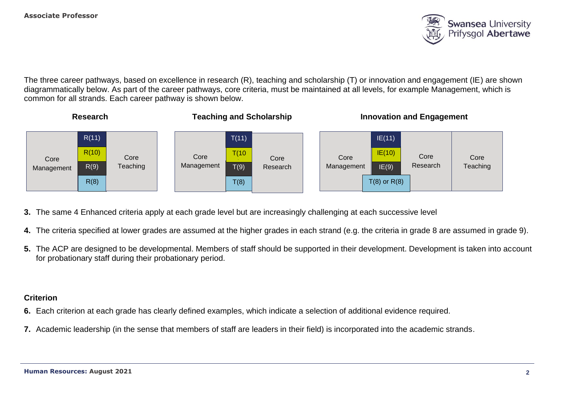

The three career pathways, based on excellence in research (R), teaching and scholarship (T) or innovation and engagement (IE) are shown diagrammatically below. As part of the career pathways, core criteria, must be maintained at all levels, for example Management, which is common for all strands. Each career pathway is shown below.



- **3.** The same 4 Enhanced criteria apply at each grade level but are increasingly challenging at each successive level
- **4.** The criteria specified at lower grades are assumed at the higher grades in each strand (e.g. the criteria in grade 8 are assumed in grade 9).
- **5.** The ACP are designed to be developmental. Members of staff should be supported in their development. Development is taken into account for probationary staff during their probationary period.

## **Criterion**

- **6.** Each criterion at each grade has clearly defined examples, which indicate a selection of additional evidence required.
- **7.** Academic leadership (in the sense that members of staff are leaders in their field) is incorporated into the academic strands.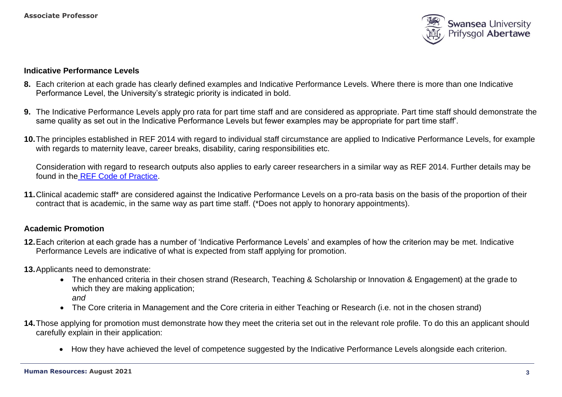

### **Indicative Performance Levels**

- **8.** Each criterion at each grade has clearly defined examples and Indicative Performance Levels. Where there is more than one Indicative Performance Level, the University's strategic priority is indicated in bold.
- **9.** The Indicative Performance Levels apply pro rata for part time staff and are considered as appropriate. Part time staff should demonstrate the same quality as set out in the Indicative Performance Levels but fewer examples may be appropriate for part time staff'.
- **10.**The principles established in REF 2014 with regard to individual staff circumstance are applied to Indicative Performance Levels, for example with regards to maternity leave, career breaks, disability, caring responsibilities etc.

Consideration with regard to research outputs also applies to early career researchers in a similar way as REF 2014. Further details may be found in the [REF Code of Practice.](https://collaborate.swan.ac.uk/staff/projects/ref2015/SitePages/Home.aspx?RootFolder=%2Fstaff%2Fprojects%2Fref2015%2FShared%20Documents%2FInterim%20Code%20of%20Practice&FolderCTID=0x012000139FED14E093C94AB30ACC07EB68EE04&View=%7b72FCCC2E-4AD6-4F87-B278-20942BE53F44%7d)

**11.**Clinical academic staff\* are considered against the Indicative Performance Levels on a pro-rata basis on the basis of the proportion of their contract that is academic, in the same way as part time staff. (\*Does not apply to honorary appointments).

## **Academic Promotion**

- **12.**Each criterion at each grade has a number of 'Indicative Performance Levels' and examples of how the criterion may be met. Indicative Performance Levels are indicative of what is expected from staff applying for promotion.
- **13.**Applicants need to demonstrate:
	- The enhanced criteria in their chosen strand (Research, Teaching & Scholarship or Innovation & Engagement) at the grade to which they are making application; *and*
	- The Core criteria in Management and the Core criteria in either Teaching or Research (i.e. not in the chosen strand)
- **14.**Those applying for promotion must demonstrate how they meet the criteria set out in the relevant role profile. To do this an applicant should carefully explain in their application:
	- How they have achieved the level of competence suggested by the Indicative Performance Levels alongside each criterion.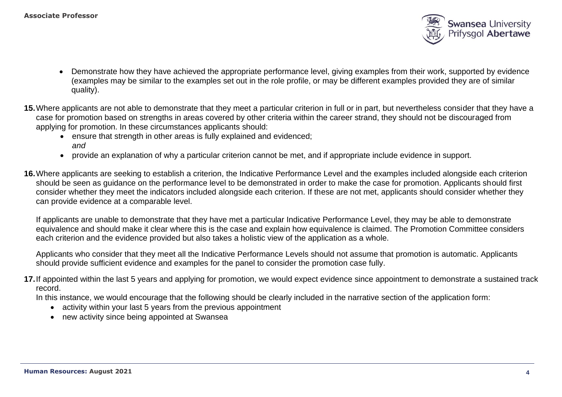

- Demonstrate how they have achieved the appropriate performance level, giving examples from their work, supported by evidence (examples may be similar to the examples set out in the role profile, or may be different examples provided they are of similar quality).
- **15.**Where applicants are not able to demonstrate that they meet a particular criterion in full or in part, but nevertheless consider that they have a case for promotion based on strengths in areas covered by other criteria within the career strand, they should not be discouraged from applying for promotion. In these circumstances applicants should:
	- ensure that strength in other areas is fully explained and evidenced: *and*
	- provide an explanation of why a particular criterion cannot be met, and if appropriate include evidence in support.
- **16.**Where applicants are seeking to establish a criterion, the Indicative Performance Level and the examples included alongside each criterion should be seen as guidance on the performance level to be demonstrated in order to make the case for promotion. Applicants should first consider whether they meet the indicators included alongside each criterion. If these are not met, applicants should consider whether they can provide evidence at a comparable level.

If applicants are unable to demonstrate that they have met a particular Indicative Performance Level, they may be able to demonstrate equivalence and should make it clear where this is the case and explain how equivalence is claimed. The Promotion Committee considers each criterion and the evidence provided but also takes a holistic view of the application as a whole.

Applicants who consider that they meet all the Indicative Performance Levels should not assume that promotion is automatic. Applicants should provide sufficient evidence and examples for the panel to consider the promotion case fully.

**17.**If appointed within the last 5 years and applying for promotion, we would expect evidence since appointment to demonstrate a sustained track record.

In this instance, we would encourage that the following should be clearly included in the narrative section of the application form:

- activity within your last 5 years from the previous appointment
- new activity since being appointed at Swansea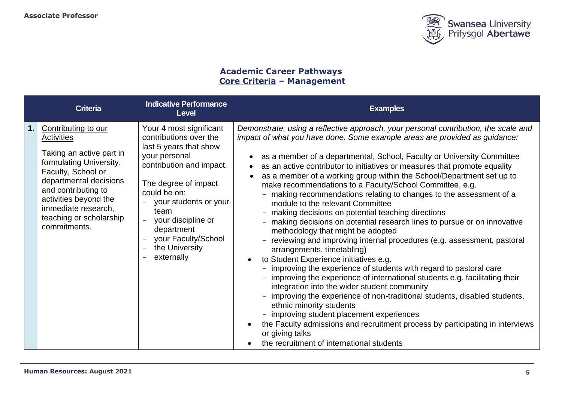

# **Academic Career Pathways Core Criteria – Management**

| <b>Criteria</b>                                                                                                                                                                                                                                                   | <b>Indicative Performance</b><br><b>Level</b>                                                                                                                                                                                                                                                            | <b>Examples</b>                                                                                                                                                                                                                                                                                                                                                                                                                                                                                                                                                                                                                                                                                                                                                                                                                                                                                                                                                                                                                                                                                                                                                                                                                                                                                                                                                                                                                              |
|-------------------------------------------------------------------------------------------------------------------------------------------------------------------------------------------------------------------------------------------------------------------|----------------------------------------------------------------------------------------------------------------------------------------------------------------------------------------------------------------------------------------------------------------------------------------------------------|----------------------------------------------------------------------------------------------------------------------------------------------------------------------------------------------------------------------------------------------------------------------------------------------------------------------------------------------------------------------------------------------------------------------------------------------------------------------------------------------------------------------------------------------------------------------------------------------------------------------------------------------------------------------------------------------------------------------------------------------------------------------------------------------------------------------------------------------------------------------------------------------------------------------------------------------------------------------------------------------------------------------------------------------------------------------------------------------------------------------------------------------------------------------------------------------------------------------------------------------------------------------------------------------------------------------------------------------------------------------------------------------------------------------------------------------|
| Contributing to our<br><b>Activities</b><br>Taking an active part in<br>formulating University,<br>Faculty, School or<br>departmental decisions<br>and contributing to<br>activities beyond the<br>immediate research,<br>teaching or scholarship<br>commitments. | Your 4 most significant<br>contributions over the<br>last 5 years that show<br>your personal<br>contribution and impact.<br>The degree of impact<br>could be on:<br>your students or your<br>team<br>your discipline or<br>$\equiv$<br>department<br>your Faculty/School<br>the University<br>externally | Demonstrate, using a reflective approach, your personal contribution, the scale and<br>impact of what you have done. Some example areas are provided as guidance:<br>as a member of a departmental, School, Faculty or University Committee<br>as an active contributor to initiatives or measures that promote equality<br>$\bullet$<br>as a member of a working group within the School/Department set up to<br>make recommendations to a Faculty/School Committee, e.g.<br>- making recommendations relating to changes to the assessment of a<br>module to the relevant Committee<br>- making decisions on potential teaching directions<br>- making decisions on potential research lines to pursue or on innovative<br>methodology that might be adopted<br>- reviewing and improving internal procedures (e.g. assessment, pastoral<br>arrangements, timetabling)<br>to Student Experience initiatives e.g.<br>- improving the experience of students with regard to pastoral care<br>- improving the experience of international students e.g. facilitating their<br>integration into the wider student community<br>improving the experience of non-traditional students, disabled students,<br>ethnic minority students<br>- improving student placement experiences<br>the Faculty admissions and recruitment process by participating in interviews<br>$\bullet$<br>or giving talks<br>the recruitment of international students |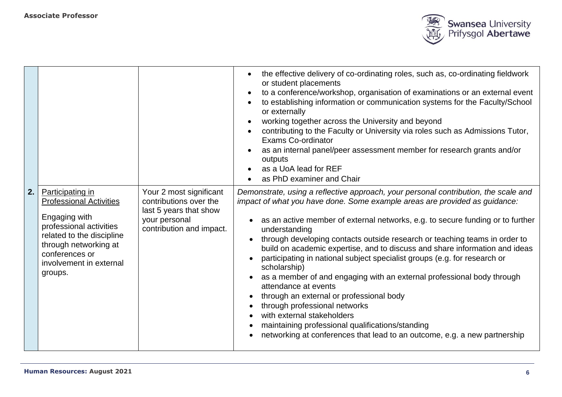

|    |                                                                                                                                                                                                              |                                                                                                                          | the effective delivery of co-ordinating roles, such as, co-ordinating fieldwork<br>$\bullet$<br>or student placements<br>to a conference/workshop, organisation of examinations or an external event<br>$\bullet$<br>to establishing information or communication systems for the Faculty/School<br>$\bullet$<br>or externally<br>working together across the University and beyond<br>$\bullet$<br>contributing to the Faculty or University via roles such as Admissions Tutor,<br>$\bullet$<br><b>Exams Co-ordinator</b><br>as an internal panel/peer assessment member for research grants and/or<br>$\bullet$<br>outputs<br>as a UoA lead for REF<br>$\bullet$<br>as PhD examiner and Chair<br>$\bullet$                                                                                                                                                                                                       |
|----|--------------------------------------------------------------------------------------------------------------------------------------------------------------------------------------------------------------|--------------------------------------------------------------------------------------------------------------------------|---------------------------------------------------------------------------------------------------------------------------------------------------------------------------------------------------------------------------------------------------------------------------------------------------------------------------------------------------------------------------------------------------------------------------------------------------------------------------------------------------------------------------------------------------------------------------------------------------------------------------------------------------------------------------------------------------------------------------------------------------------------------------------------------------------------------------------------------------------------------------------------------------------------------|
| 2. | Participating in<br><b>Professional Activities</b><br>Engaging with<br>professional activities<br>related to the discipline<br>through networking at<br>conferences or<br>involvement in external<br>groups. | Your 2 most significant<br>contributions over the<br>last 5 years that show<br>your personal<br>contribution and impact. | Demonstrate, using a reflective approach, your personal contribution, the scale and<br>impact of what you have done. Some example areas are provided as guidance:<br>as an active member of external networks, e.g. to secure funding or to further<br>understanding<br>through developing contacts outside research or teaching teams in order to<br>$\bullet$<br>build on academic expertise, and to discuss and share information and ideas<br>participating in national subject specialist groups (e.g. for research or<br>scholarship)<br>as a member of and engaging with an external professional body through<br>$\bullet$<br>attendance at events<br>through an external or professional body<br>$\bullet$<br>through professional networks<br>with external stakeholders<br>maintaining professional qualifications/standing<br>networking at conferences that lead to an outcome, e.g. a new partnership |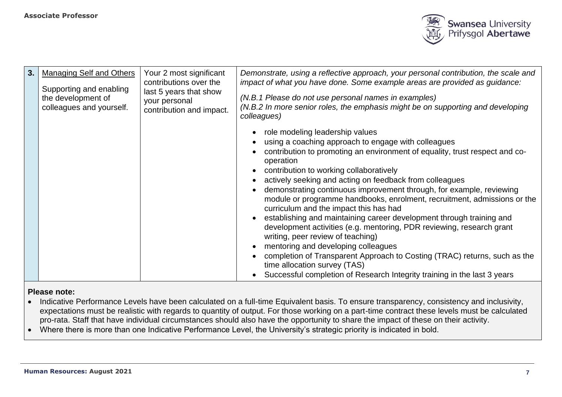

| 3. | <b>Managing Self and Others</b><br>Supporting and enabling<br>the development of<br>colleagues and yourself. | Your 2 most significant<br>contributions over the<br>last 5 years that show<br>your personal<br>contribution and impact. | Demonstrate, using a reflective approach, your personal contribution, the scale and<br>impact of what you have done. Some example areas are provided as guidance:<br>(N.B.1 Please do not use personal names in examples)<br>(N.B.2 In more senior roles, the emphasis might be on supporting and developing<br>colleagues)                                                                                                                                                                                                                                                                                                                                                                                                                                                                                                                                                                                  |
|----|--------------------------------------------------------------------------------------------------------------|--------------------------------------------------------------------------------------------------------------------------|--------------------------------------------------------------------------------------------------------------------------------------------------------------------------------------------------------------------------------------------------------------------------------------------------------------------------------------------------------------------------------------------------------------------------------------------------------------------------------------------------------------------------------------------------------------------------------------------------------------------------------------------------------------------------------------------------------------------------------------------------------------------------------------------------------------------------------------------------------------------------------------------------------------|
|    |                                                                                                              |                                                                                                                          | role modeling leadership values<br>using a coaching approach to engage with colleagues<br>contribution to promoting an environment of equality, trust respect and co-<br>operation<br>contribution to working collaboratively<br>actively seeking and acting on feedback from colleagues<br>demonstrating continuous improvement through, for example, reviewing<br>module or programme handbooks, enrolment, recruitment, admissions or the<br>curriculum and the impact this has had<br>establishing and maintaining career development through training and<br>development activities (e.g. mentoring, PDR reviewing, research grant<br>writing, peer review of teaching)<br>mentoring and developing colleagues<br>completion of Transparent Approach to Costing (TRAC) returns, such as the<br>time allocation survey (TAS)<br>Successful completion of Research Integrity training in the last 3 years |

- Indicative Performance Levels have been calculated on a full-time Equivalent basis. To ensure transparency, consistency and inclusivity, expectations must be realistic with regards to quantity of output. For those working on a part-time contract these levels must be calculated pro-rata. Staff that have individual circumstances should also have the opportunity to share the impact of these on their activity.
- Where there is more than one Indicative Performance Level, the University's strategic priority is indicated in bold.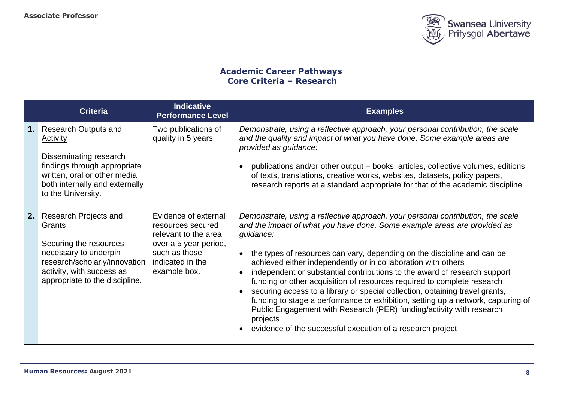

## **Academic Career Pathways Core Criteria – Research**

|    | <b>Criteria</b>                                                                                                                                                                           | <b>Indicative</b><br><b>Performance Level</b>                                                                                                   | <b>Examples</b>                                                                                                                                                                                                                                                                                                                                                                                                                                                                                                                                                                                                                                                                                                                                                                                                 |
|----|-------------------------------------------------------------------------------------------------------------------------------------------------------------------------------------------|-------------------------------------------------------------------------------------------------------------------------------------------------|-----------------------------------------------------------------------------------------------------------------------------------------------------------------------------------------------------------------------------------------------------------------------------------------------------------------------------------------------------------------------------------------------------------------------------------------------------------------------------------------------------------------------------------------------------------------------------------------------------------------------------------------------------------------------------------------------------------------------------------------------------------------------------------------------------------------|
| 1. | <b>Research Outputs and</b><br>Activity<br>Disseminating research<br>findings through appropriate<br>written, oral or other media<br>both internally and externally<br>to the University. | Two publications of<br>quality in 5 years.                                                                                                      | Demonstrate, using a reflective approach, your personal contribution, the scale<br>and the quality and impact of what you have done. Some example areas are<br>provided as guidance:<br>publications and/or other output – books, articles, collective volumes, editions<br>of texts, translations, creative works, websites, datasets, policy papers,<br>research reports at a standard appropriate for that of the academic discipline                                                                                                                                                                                                                                                                                                                                                                        |
| 2. | <b>Research Projects and</b><br>Grants<br>Securing the resources<br>necessary to underpin<br>research/scholarly/innovation<br>activity, with success as<br>appropriate to the discipline. | Evidence of external<br>resources secured<br>relevant to the area<br>over a 5 year period,<br>such as those<br>indicated in the<br>example box. | Demonstrate, using a reflective approach, your personal contribution, the scale<br>and the impact of what you have done. Some example areas are provided as<br>guidance:<br>the types of resources can vary, depending on the discipline and can be<br>achieved either independently or in collaboration with others<br>independent or substantial contributions to the award of research support<br>funding or other acquisition of resources required to complete research<br>securing access to a library or special collection, obtaining travel grants,<br>$\bullet$<br>funding to stage a performance or exhibition, setting up a network, capturing of<br>Public Engagement with Research (PER) funding/activity with research<br>projects<br>evidence of the successful execution of a research project |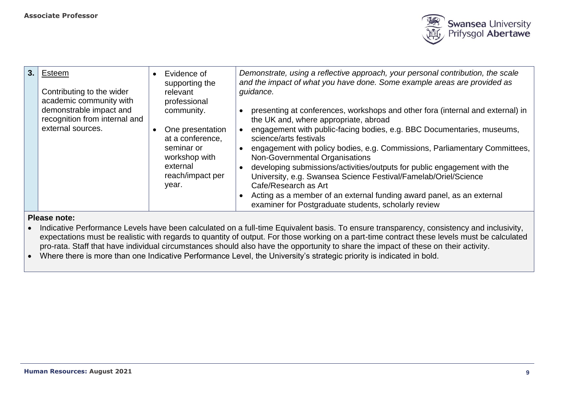

| 3.1 | Esteem<br>Contributing to the wider<br>academic community with<br>demonstrable impact and<br>recognition from internal and<br>external sources. | Evidence of<br>supporting the<br>relevant<br>professional<br>community.<br>One presentation<br>at a conference,<br>seminar or<br>workshop with<br>external<br>reach/impact per<br>year. | Demonstrate, using a reflective approach, your personal contribution, the scale<br>and the impact of what you have done. Some example areas are provided as<br>guidance.<br>presenting at conferences, workshops and other fora (internal and external) in<br>the UK and, where appropriate, abroad<br>engagement with public-facing bodies, e.g. BBC Documentaries, museums,<br>science/arts festivals<br>engagement with policy bodies, e.g. Commissions, Parliamentary Committees,<br>Non-Governmental Organisations<br>developing submissions/activities/outputs for public engagement with the<br>University, e.g. Swansea Science Festival/Famelab/Oriel/Science<br>Cafe/Research as Art<br>Acting as a member of an external funding award panel, as an external<br>examiner for Postgraduate students, scholarly review |
|-----|-------------------------------------------------------------------------------------------------------------------------------------------------|-----------------------------------------------------------------------------------------------------------------------------------------------------------------------------------------|---------------------------------------------------------------------------------------------------------------------------------------------------------------------------------------------------------------------------------------------------------------------------------------------------------------------------------------------------------------------------------------------------------------------------------------------------------------------------------------------------------------------------------------------------------------------------------------------------------------------------------------------------------------------------------------------------------------------------------------------------------------------------------------------------------------------------------|

- Indicative Performance Levels have been calculated on a full-time Equivalent basis. To ensure transparency, consistency and inclusivity, expectations must be realistic with regards to quantity of output. For those working on a part-time contract these levels must be calculated pro-rata. Staff that have individual circumstances should also have the opportunity to share the impact of these on their activity.
- Where there is more than one Indicative Performance Level, the University's strategic priority is indicated in bold.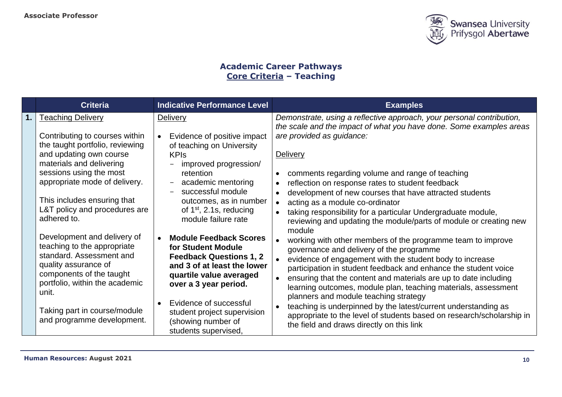

## **Academic Career Pathways Core Criteria – Teaching**

| <b>Criteria</b>                                                                                                                                                                                                                                                                                                                                                                                                                                                                          | <b>Indicative Performance Level</b>                                                                                                                                                                                                                                                                                                                                                                                                                                                                    | <b>Examples</b>                                                                                                                                                                                                                                                                                                                                                                                                                                                                                                                                                                                                                                                                                                                                                                                                                                                                                                                                                    |
|------------------------------------------------------------------------------------------------------------------------------------------------------------------------------------------------------------------------------------------------------------------------------------------------------------------------------------------------------------------------------------------------------------------------------------------------------------------------------------------|--------------------------------------------------------------------------------------------------------------------------------------------------------------------------------------------------------------------------------------------------------------------------------------------------------------------------------------------------------------------------------------------------------------------------------------------------------------------------------------------------------|--------------------------------------------------------------------------------------------------------------------------------------------------------------------------------------------------------------------------------------------------------------------------------------------------------------------------------------------------------------------------------------------------------------------------------------------------------------------------------------------------------------------------------------------------------------------------------------------------------------------------------------------------------------------------------------------------------------------------------------------------------------------------------------------------------------------------------------------------------------------------------------------------------------------------------------------------------------------|
| <b>Teaching Delivery</b><br>Contributing to courses within<br>the taught portfolio, reviewing<br>and updating own course<br>materials and delivering<br>sessions using the most<br>appropriate mode of delivery.<br>This includes ensuring that<br>L&T policy and procedures are<br>adhered to.<br>Development and delivery of<br>teaching to the appropriate<br>standard. Assessment and<br>quality assurance of<br>components of the taught<br>portfolio, within the academic<br>unit. | <b>Delivery</b><br>Evidence of positive impact<br>$\bullet$<br>of teaching on University<br><b>KPIs</b><br>improved progression/<br>retention<br>academic mentoring<br>successful module<br>outcomes, as in number<br>of $1st$ , 2.1s, reducing<br>module failure rate<br><b>Module Feedback Scores</b><br>$\bullet$<br>for Student Module<br><b>Feedback Questions 1, 2</b><br>and 3 of at least the lower<br>quartile value averaged<br>over a 3 year period.<br>Evidence of successful<br>$\bullet$ | Demonstrate, using a reflective approach, your personal contribution,<br>the scale and the impact of what you have done. Some examples areas<br>are provided as guidance:<br>Delivery<br>comments regarding volume and range of teaching<br>reflection on response rates to student feedback<br>development of new courses that have attracted students<br>acting as a module co-ordinator<br>taking responsibility for a particular Undergraduate module,<br>reviewing and updating the module/parts of module or creating new<br>module<br>working with other members of the programme team to improve<br>governance and delivery of the programme<br>evidence of engagement with the student body to increase<br>participation in student feedback and enhance the student voice<br>ensuring that the content and materials are up to date including<br>learning outcomes, module plan, teaching materials, assessment<br>planners and module teaching strategy |
| Taking part in course/module<br>and programme development.                                                                                                                                                                                                                                                                                                                                                                                                                               | student project supervision<br>(showing number of<br>students supervised,                                                                                                                                                                                                                                                                                                                                                                                                                              | teaching is underpinned by the latest/current understanding as<br>appropriate to the level of students based on research/scholarship in<br>the field and draws directly on this link                                                                                                                                                                                                                                                                                                                                                                                                                                                                                                                                                                                                                                                                                                                                                                               |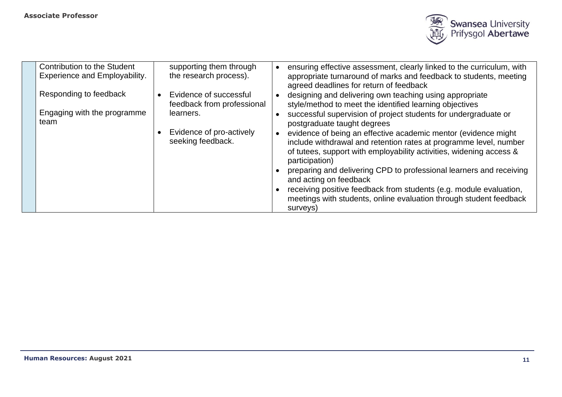

| Contribution to the Student<br><b>Experience and Employability.</b> | supporting them through<br>the research process).                                                                  | ensuring effective assessment, clearly linked to the curriculum, with<br>appropriate turnaround of marks and feedback to students, meeting<br>agreed deadlines for return of feedback                                                                                                                                                                                                                                                                                                                                                                                                                                                                                                                         |
|---------------------------------------------------------------------|--------------------------------------------------------------------------------------------------------------------|---------------------------------------------------------------------------------------------------------------------------------------------------------------------------------------------------------------------------------------------------------------------------------------------------------------------------------------------------------------------------------------------------------------------------------------------------------------------------------------------------------------------------------------------------------------------------------------------------------------------------------------------------------------------------------------------------------------|
| Responding to feedback<br>Engaging with the programme<br>team       | Evidence of successful<br>feedback from professional<br>learners.<br>Evidence of pro-actively<br>seeking feedback. | designing and delivering own teaching using appropriate<br>style/method to meet the identified learning objectives<br>successful supervision of project students for undergraduate or<br>postgraduate taught degrees<br>evidence of being an effective academic mentor (evidence might<br>include withdrawal and retention rates at programme level, number<br>of tutees, support with employability activities, widening access &<br>participation)<br>preparing and delivering CPD to professional learners and receiving<br>and acting on feedback<br>receiving positive feedback from students (e.g. module evaluation,<br>meetings with students, online evaluation through student feedback<br>surveys) |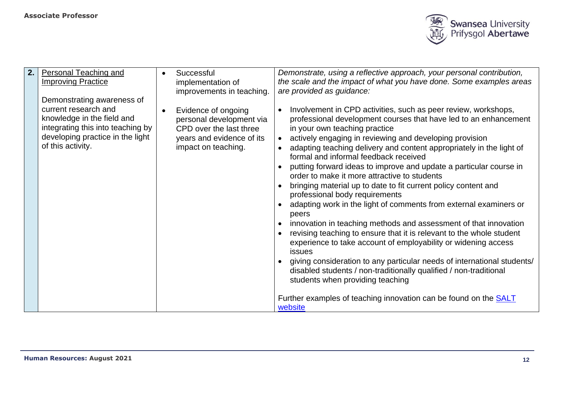

| 2. | <b>Personal Teaching and</b>                                                                                                                                                   | Successful                                                                                                                     | Demonstrate, using a reflective approach, your personal contribution,                                                                                                                                                                                                                                                                                                                                                                                                                                                                                                                                                                                                                                                                                                                                                                                                                                                                                                                                                                                                                                                                                            |
|----|--------------------------------------------------------------------------------------------------------------------------------------------------------------------------------|--------------------------------------------------------------------------------------------------------------------------------|------------------------------------------------------------------------------------------------------------------------------------------------------------------------------------------------------------------------------------------------------------------------------------------------------------------------------------------------------------------------------------------------------------------------------------------------------------------------------------------------------------------------------------------------------------------------------------------------------------------------------------------------------------------------------------------------------------------------------------------------------------------------------------------------------------------------------------------------------------------------------------------------------------------------------------------------------------------------------------------------------------------------------------------------------------------------------------------------------------------------------------------------------------------|
|    | <b>Improving Practice</b>                                                                                                                                                      | implementation of<br>improvements in teaching.                                                                                 | the scale and the impact of what you have done. Some examples areas<br>are provided as guidance:                                                                                                                                                                                                                                                                                                                                                                                                                                                                                                                                                                                                                                                                                                                                                                                                                                                                                                                                                                                                                                                                 |
|    | Demonstrating awareness of<br>current research and<br>knowledge in the field and<br>integrating this into teaching by<br>developing practice in the light<br>of this activity. | Evidence of ongoing<br>personal development via<br>CPD over the last three<br>years and evidence of its<br>impact on teaching. | Involvement in CPD activities, such as peer review, workshops,<br>professional development courses that have led to an enhancement<br>in your own teaching practice<br>actively engaging in reviewing and developing provision<br>adapting teaching delivery and content appropriately in the light of<br>formal and informal feedback received<br>putting forward ideas to improve and update a particular course in<br>order to make it more attractive to students<br>bringing material up to date to fit current policy content and<br>professional body requirements<br>adapting work in the light of comments from external examiners or<br>peers<br>innovation in teaching methods and assessment of that innovation<br>revising teaching to ensure that it is relevant to the whole student<br>experience to take account of employability or widening access<br><b>issues</b><br>giving consideration to any particular needs of international students/<br>disabled students / non-traditionally qualified / non-traditional<br>students when providing teaching<br>Further examples of teaching innovation can be found on the <b>SALT</b><br>website |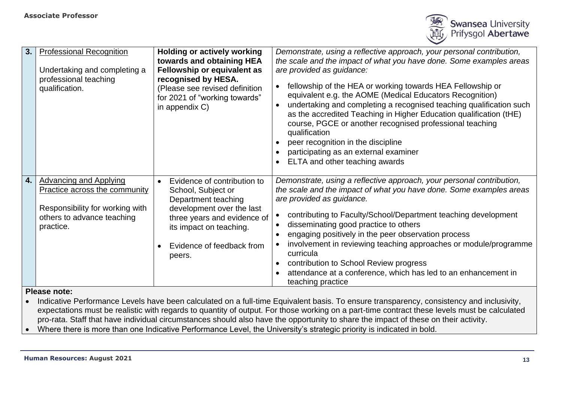

| 3.  | <b>Professional Recognition</b><br>Undertaking and completing a<br>professional teaching<br>qualification.                                          | <b>Holding or actively working</b><br>towards and obtaining HEA<br>Fellowship or equivalent as<br>recognised by HESA.<br>(Please see revised definition<br>for 2021 of "working towards"<br>in appendix C)          | Demonstrate, using a reflective approach, your personal contribution,<br>the scale and the impact of what you have done. Some examples areas<br>are provided as guidance:<br>fellowship of the HEA or working towards HEA Fellowship or<br>equivalent e.g. the AOME (Medical Educators Recognition)<br>undertaking and completing a recognised teaching qualification such<br>as the accredited Teaching in Higher Education qualification (tHE)<br>course, PGCE or another recognised professional teaching<br>qualification<br>peer recognition in the discipline<br>participating as an external examiner<br>ELTA and other teaching awards |
|-----|-----------------------------------------------------------------------------------------------------------------------------------------------------|---------------------------------------------------------------------------------------------------------------------------------------------------------------------------------------------------------------------|------------------------------------------------------------------------------------------------------------------------------------------------------------------------------------------------------------------------------------------------------------------------------------------------------------------------------------------------------------------------------------------------------------------------------------------------------------------------------------------------------------------------------------------------------------------------------------------------------------------------------------------------|
| 4.1 | <b>Advancing and Applying</b><br><b>Practice across the community</b><br>Responsibility for working with<br>others to advance teaching<br>practice. | Evidence of contribution to<br>$\bullet$<br>School, Subject or<br>Department teaching<br>development over the last<br>three years and evidence of<br>its impact on teaching.<br>Evidence of feedback from<br>peers. | Demonstrate, using a reflective approach, your personal contribution,<br>the scale and the impact of what you have done. Some examples areas<br>are provided as guidance.<br>contributing to Faculty/School/Department teaching development<br>disseminating good practice to others<br>engaging positively in the peer observation process<br>involvement in reviewing teaching approaches or module/programme<br>curricula<br>contribution to School Review progress<br>attendance at a conference, which has led to an enhancement in<br>teaching practice                                                                                  |

• Indicative Performance Levels have been calculated on a full-time Equivalent basis. To ensure transparency, consistency and inclusivity, expectations must be realistic with regards to quantity of output. For those working on a part-time contract these levels must be calculated pro-rata. Staff that have individual circumstances should also have the opportunity to share the impact of these on their activity.

• Where there is more than one Indicative Performance Level, the University's strategic priority is indicated in bold.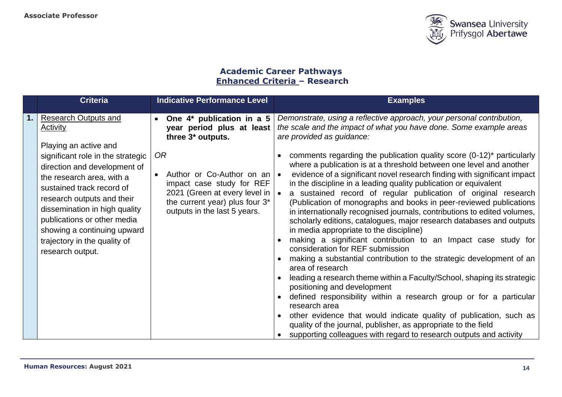

## **Academic Career Pathways Enhanced Criteria – Research**

| <b>Criteria</b>                                                                                                                                                                                                                                                                                                                                                                         | <b>Indicative Performance Level</b>                                                                                                                                                                                                                      | <b>Examples</b>                                                                                                                                                                                                                                                                                                                                                                                                                                                                                                                                                                                                                                                                                                                                                                                                                                                                                                                                                                                                                                                                                                                                                                                                      |
|-----------------------------------------------------------------------------------------------------------------------------------------------------------------------------------------------------------------------------------------------------------------------------------------------------------------------------------------------------------------------------------------|----------------------------------------------------------------------------------------------------------------------------------------------------------------------------------------------------------------------------------------------------------|----------------------------------------------------------------------------------------------------------------------------------------------------------------------------------------------------------------------------------------------------------------------------------------------------------------------------------------------------------------------------------------------------------------------------------------------------------------------------------------------------------------------------------------------------------------------------------------------------------------------------------------------------------------------------------------------------------------------------------------------------------------------------------------------------------------------------------------------------------------------------------------------------------------------------------------------------------------------------------------------------------------------------------------------------------------------------------------------------------------------------------------------------------------------------------------------------------------------|
| <b>Research Outputs and</b><br><b>Activity</b><br>Playing an active and<br>significant role in the strategic<br>direction and development of<br>the research area, with a<br>sustained track record of<br>research outputs and their<br>dissemination in high quality<br>publications or other media<br>showing a continuing upward<br>trajectory in the quality of<br>research output. | One 4* publication in a 5<br>year period plus at least<br>three 3* outputs.<br>0R<br>Author or Co-Author on an $\bullet$<br>impact case study for REF<br>2021 (Green at every level in<br>the current year) plus four 3*<br>outputs in the last 5 years. | Demonstrate, using a reflective approach, your personal contribution,<br>the scale and the impact of what you have done. Some example areas<br>are provided as guidance:<br>comments regarding the publication quality score $(0-12)^*$ particularly<br>where a publication is at a threshold between one level and another<br>evidence of a significant novel research finding with significant impact<br>in the discipline in a leading quality publication or equivalent<br>a sustained record of regular publication of original research<br>(Publication of monographs and books in peer-reviewed publications<br>in internationally recognised journals, contributions to edited volumes,<br>scholarly editions, catalogues, major research databases and outputs<br>in media appropriate to the discipline)<br>making a significant contribution to an Impact case study for<br>consideration for REF submission<br>making a substantial contribution to the strategic development of an<br>area of research<br>leading a research theme within a Faculty/School, shaping its strategic<br>positioning and development<br>defined responsibility within a research group or for a particular<br>research area |
|                                                                                                                                                                                                                                                                                                                                                                                         |                                                                                                                                                                                                                                                          | other evidence that would indicate quality of publication, such as<br>quality of the journal, publisher, as appropriate to the field<br>supporting colleagues with regard to research outputs and activity                                                                                                                                                                                                                                                                                                                                                                                                                                                                                                                                                                                                                                                                                                                                                                                                                                                                                                                                                                                                           |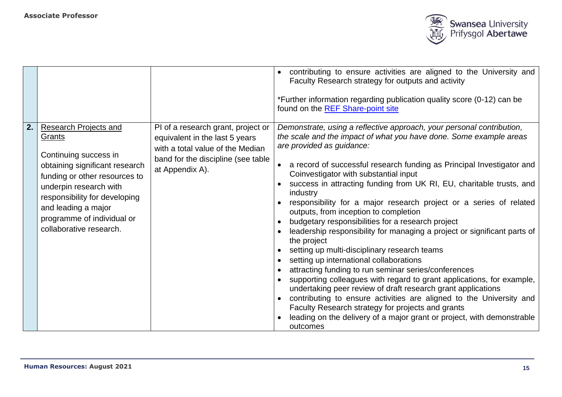

|    |                                                                                                                                                                                                                                                                               |                                                                                                                                                                   | contributing to ensure activities are aligned to the University and<br>Faculty Research strategy for outputs and activity<br>*Further information regarding publication quality score (0-12) can be<br>found on the REF Share-point site                                                                                                                                                                                                                                                                                                                                                                                                                                                                                                                                                                                                                                                                                                                                                                                                                                                                                                                    |
|----|-------------------------------------------------------------------------------------------------------------------------------------------------------------------------------------------------------------------------------------------------------------------------------|-------------------------------------------------------------------------------------------------------------------------------------------------------------------|-------------------------------------------------------------------------------------------------------------------------------------------------------------------------------------------------------------------------------------------------------------------------------------------------------------------------------------------------------------------------------------------------------------------------------------------------------------------------------------------------------------------------------------------------------------------------------------------------------------------------------------------------------------------------------------------------------------------------------------------------------------------------------------------------------------------------------------------------------------------------------------------------------------------------------------------------------------------------------------------------------------------------------------------------------------------------------------------------------------------------------------------------------------|
| 2. | <b>Research Projects and</b><br>Grants<br>Continuing success in<br>obtaining significant research<br>funding or other resources to<br>underpin research with<br>responsibility for developing<br>and leading a major<br>programme of individual or<br>collaborative research. | PI of a research grant, project or<br>equivalent in the last 5 years<br>with a total value of the Median<br>band for the discipline (see table<br>at Appendix A). | Demonstrate, using a reflective approach, your personal contribution,<br>the scale and the impact of what you have done. Some example areas<br>are provided as guidance:<br>a record of successful research funding as Principal Investigator and<br>Coinvestigator with substantial input<br>success in attracting funding from UK RI, EU, charitable trusts, and<br>industry<br>responsibility for a major research project or a series of related<br>outputs, from inception to completion<br>budgetary responsibilities for a research project<br>leadership responsibility for managing a project or significant parts of<br>the project<br>setting up multi-disciplinary research teams<br>setting up international collaborations<br>attracting funding to run seminar series/conferences<br>supporting colleagues with regard to grant applications, for example,<br>undertaking peer review of draft research grant applications<br>contributing to ensure activities are aligned to the University and<br>Faculty Research strategy for projects and grants<br>leading on the delivery of a major grant or project, with demonstrable<br>outcomes |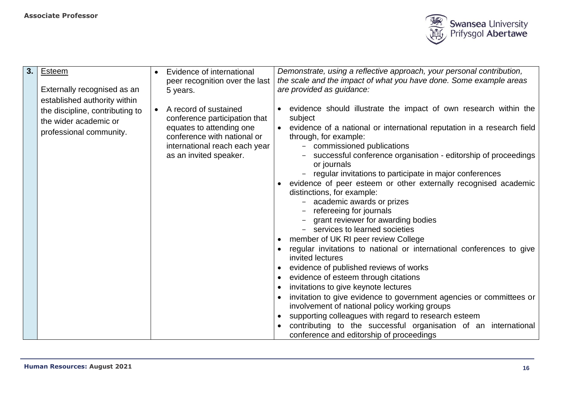

|                                 |                                                                       |                                                         |                                                                                                                                           | Demonstrate, using a reflective approach, your personal contribution,                             |
|---------------------------------|-----------------------------------------------------------------------|---------------------------------------------------------|-------------------------------------------------------------------------------------------------------------------------------------------|---------------------------------------------------------------------------------------------------|
|                                 |                                                                       |                                                         |                                                                                                                                           | the scale and the impact of what you have done. Some example areas                                |
|                                 |                                                                       |                                                         |                                                                                                                                           | are provided as guidance:                                                                         |
| established authority within    |                                                                       |                                                         |                                                                                                                                           |                                                                                                   |
| the discipline, contributing to |                                                                       | A record of sustained                                   |                                                                                                                                           | evidence should illustrate the impact of own research within the<br>subject                       |
| professional community.         |                                                                       | equates to attending one<br>conference with national or |                                                                                                                                           | • evidence of a national or international reputation in a research field<br>through, for example: |
|                                 |                                                                       |                                                         |                                                                                                                                           | commissioned publications<br>$\overline{\phantom{0}}$                                             |
|                                 |                                                                       | as an invited speaker.                                  |                                                                                                                                           | successful conference organisation - editorship of proceedings<br>or journals                     |
|                                 |                                                                       |                                                         |                                                                                                                                           | regular invitations to participate in major conferences                                           |
|                                 |                                                                       |                                                         |                                                                                                                                           | evidence of peer esteem or other externally recognised academic                                   |
|                                 |                                                                       |                                                         |                                                                                                                                           | distinctions, for example:                                                                        |
|                                 |                                                                       |                                                         |                                                                                                                                           | academic awards or prizes                                                                         |
|                                 |                                                                       |                                                         |                                                                                                                                           | refereeing for journals                                                                           |
|                                 |                                                                       |                                                         |                                                                                                                                           | grant reviewer for awarding bodies                                                                |
|                                 |                                                                       |                                                         |                                                                                                                                           | - services to learned societies                                                                   |
|                                 |                                                                       |                                                         |                                                                                                                                           | member of UK RI peer review College                                                               |
|                                 |                                                                       |                                                         |                                                                                                                                           | regular invitations to national or international conferences to give                              |
|                                 |                                                                       |                                                         |                                                                                                                                           | invited lectures                                                                                  |
|                                 |                                                                       |                                                         |                                                                                                                                           | evidence of published reviews of works                                                            |
|                                 |                                                                       |                                                         |                                                                                                                                           | evidence of esteem through citations                                                              |
|                                 |                                                                       |                                                         |                                                                                                                                           | invitations to give keynote lectures                                                              |
|                                 |                                                                       |                                                         |                                                                                                                                           | invitation to give evidence to government agencies or committees or                               |
|                                 |                                                                       |                                                         |                                                                                                                                           | involvement of national policy working groups                                                     |
|                                 |                                                                       |                                                         |                                                                                                                                           | supporting colleagues with regard to research esteem                                              |
|                                 |                                                                       |                                                         |                                                                                                                                           | contributing to the successful organisation of an international                                   |
|                                 |                                                                       |                                                         |                                                                                                                                           | conference and editorship of proceedings                                                          |
|                                 | <b>Esteem</b><br>Externally recognised as an<br>the wider academic or |                                                         | Evidence of international<br>peer recognition over the last<br>5 years.<br>conference participation that<br>international reach each year |                                                                                                   |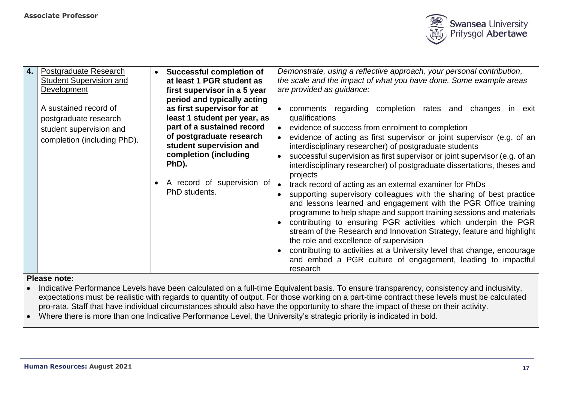

| 4. | Postgraduate Research<br><b>Student Supervision and</b><br>Development<br>A sustained record of<br>postgraduate research<br>student supervision and<br>completion (including PhD). | <b>Successful completion of</b><br>at least 1 PGR student as<br>first supervisor in a 5 year<br>period and typically acting<br>as first supervisor for at<br>least 1 student per year, as<br>part of a sustained record<br>of postgraduate research<br>student supervision and<br>completion (including<br>PhD).<br>A record of supervision of<br>PhD students. | Demonstrate, using a reflective approach, your personal contribution,<br>the scale and the impact of what you have done. Some example areas<br>are provided as guidance:<br>comments regarding completion rates and changes<br>in<br>exit<br>qualifications<br>evidence of success from enrolment to completion<br>evidence of acting as first supervisor or joint supervisor (e.g. of an<br>interdisciplinary researcher) of postgraduate students<br>successful supervision as first supervisor or joint supervisor (e.g. of an<br>interdisciplinary researcher) of postgraduate dissertations, theses and<br>projects<br>track record of acting as an external examiner for PhDs<br>supporting supervisory colleagues with the sharing of best practice<br>and lessons learned and engagement with the PGR Office training<br>programme to help shape and support training sessions and materials<br>contributing to ensuring PGR activities which underpin the PGR<br>stream of the Research and Innovation Strategy, feature and highlight<br>the role and excellence of supervision<br>contributing to activities at a University level that change, encourage<br>and embed a PGR culture of engagement, leading to impactful<br>research |
|----|------------------------------------------------------------------------------------------------------------------------------------------------------------------------------------|-----------------------------------------------------------------------------------------------------------------------------------------------------------------------------------------------------------------------------------------------------------------------------------------------------------------------------------------------------------------|-------------------------------------------------------------------------------------------------------------------------------------------------------------------------------------------------------------------------------------------------------------------------------------------------------------------------------------------------------------------------------------------------------------------------------------------------------------------------------------------------------------------------------------------------------------------------------------------------------------------------------------------------------------------------------------------------------------------------------------------------------------------------------------------------------------------------------------------------------------------------------------------------------------------------------------------------------------------------------------------------------------------------------------------------------------------------------------------------------------------------------------------------------------------------------------------------------------------------------------------------|
|----|------------------------------------------------------------------------------------------------------------------------------------------------------------------------------------|-----------------------------------------------------------------------------------------------------------------------------------------------------------------------------------------------------------------------------------------------------------------------------------------------------------------------------------------------------------------|-------------------------------------------------------------------------------------------------------------------------------------------------------------------------------------------------------------------------------------------------------------------------------------------------------------------------------------------------------------------------------------------------------------------------------------------------------------------------------------------------------------------------------------------------------------------------------------------------------------------------------------------------------------------------------------------------------------------------------------------------------------------------------------------------------------------------------------------------------------------------------------------------------------------------------------------------------------------------------------------------------------------------------------------------------------------------------------------------------------------------------------------------------------------------------------------------------------------------------------------------|

- Indicative Performance Levels have been calculated on a full-time Equivalent basis. To ensure transparency, consistency and inclusivity, expectations must be realistic with regards to quantity of output. For those working on a part-time contract these levels must be calculated pro-rata. Staff that have individual circumstances should also have the opportunity to share the impact of these on their activity.
- Where there is more than one Indicative Performance Level, the University's strategic priority is indicated in bold.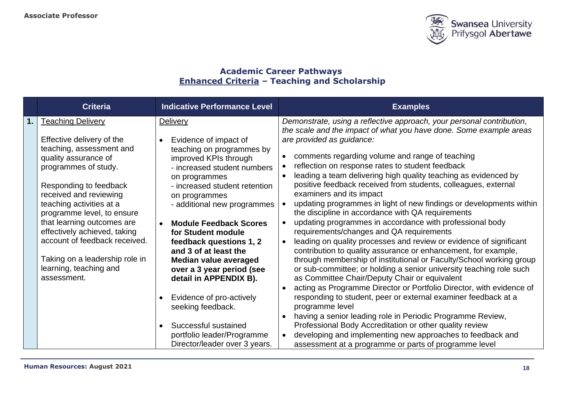

# **Academic Career Pathways Enhanced Criteria – Teaching and Scholarship**

|    | <b>Criteria</b>                                                                                                                                                                                                                                                                                                                                                                                                           | <b>Indicative Performance Level</b>                                                                                                                                                                                                                                                                                                                                                                                                                                       | <b>Examples</b>                                                                                                                                                                                                                                                                                                                                                                                                                                                                                                                                                                                                                                                                                                                                                                                                                                                                                                                                                                                                                                                                                                                                                       |
|----|---------------------------------------------------------------------------------------------------------------------------------------------------------------------------------------------------------------------------------------------------------------------------------------------------------------------------------------------------------------------------------------------------------------------------|---------------------------------------------------------------------------------------------------------------------------------------------------------------------------------------------------------------------------------------------------------------------------------------------------------------------------------------------------------------------------------------------------------------------------------------------------------------------------|-----------------------------------------------------------------------------------------------------------------------------------------------------------------------------------------------------------------------------------------------------------------------------------------------------------------------------------------------------------------------------------------------------------------------------------------------------------------------------------------------------------------------------------------------------------------------------------------------------------------------------------------------------------------------------------------------------------------------------------------------------------------------------------------------------------------------------------------------------------------------------------------------------------------------------------------------------------------------------------------------------------------------------------------------------------------------------------------------------------------------------------------------------------------------|
| 1. | <b>Teaching Delivery</b><br>Effective delivery of the<br>teaching, assessment and<br>quality assurance of<br>programmes of study.<br>Responding to feedback<br>received and reviewing<br>teaching activities at a<br>programme level, to ensure<br>that learning outcomes are<br>effectively achieved, taking<br>account of feedback received.<br>Taking on a leadership role in<br>learning, teaching and<br>assessment. | Delivery<br>Evidence of impact of<br>$\bullet$<br>teaching on programmes by<br>improved KPIs through<br>- increased student numbers<br>on programmes<br>- increased student retention<br>on programmes<br>- additional new programmes<br><b>Module Feedback Scores</b><br>for Student module<br>feedback questions 1, 2<br>and 3 of at least the<br>Median value averaged<br>over a 3 year period (see<br>detail in APPENDIX B).<br>Evidence of pro-actively<br>$\bullet$ | Demonstrate, using a reflective approach, your personal contribution,<br>the scale and the impact of what you have done. Some example areas<br>are provided as guidance:<br>comments regarding volume and range of teaching<br>reflection on response rates to student feedback<br>leading a team delivering high quality teaching as evidenced by<br>positive feedback received from students, colleagues, external<br>examiners and its impact<br>updating programmes in light of new findings or developments within<br>the discipline in accordance with QA requirements<br>updating programmes in accordance with professional body<br>requirements/changes and QA requirements<br>leading on quality processes and review or evidence of significant<br>contribution to quality assurance or enhancement, for example,<br>through membership of institutional or Faculty/School working group<br>or sub-committee; or holding a senior university teaching role such<br>as Committee Chair/Deputy Chair or equivalent<br>acting as Programme Director or Portfolio Director, with evidence of<br>responding to student, peer or external examiner feedback at a |
|    |                                                                                                                                                                                                                                                                                                                                                                                                                           |                                                                                                                                                                                                                                                                                                                                                                                                                                                                           |                                                                                                                                                                                                                                                                                                                                                                                                                                                                                                                                                                                                                                                                                                                                                                                                                                                                                                                                                                                                                                                                                                                                                                       |
|    |                                                                                                                                                                                                                                                                                                                                                                                                                           | seeking feedback.<br>Successful sustained<br>$\bullet$                                                                                                                                                                                                                                                                                                                                                                                                                    | programme level<br>having a senior leading role in Periodic Programme Review,<br>Professional Body Accreditation or other quality review                                                                                                                                                                                                                                                                                                                                                                                                                                                                                                                                                                                                                                                                                                                                                                                                                                                                                                                                                                                                                              |
|    |                                                                                                                                                                                                                                                                                                                                                                                                                           | portfolio leader/Programme<br>Director/leader over 3 years.                                                                                                                                                                                                                                                                                                                                                                                                               | developing and implementing new approaches to feedback and<br>assessment at a programme or parts of programme level                                                                                                                                                                                                                                                                                                                                                                                                                                                                                                                                                                                                                                                                                                                                                                                                                                                                                                                                                                                                                                                   |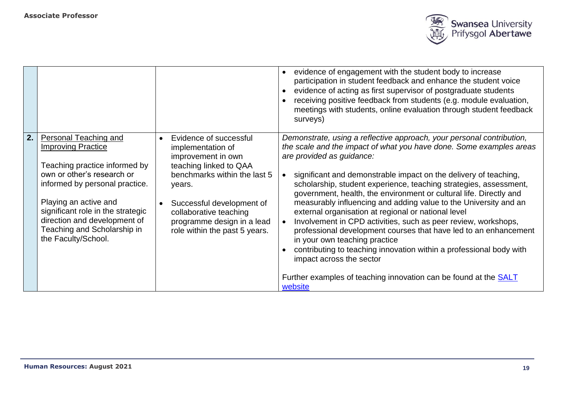

|    |                                                                                                                                                                                                                                                                                                         |           |                                                                                                                                                                                                                                                             | evidence of engagement with the student body to increase<br>participation in student feedback and enhance the student voice<br>evidence of acting as first supervisor of postgraduate students<br>receiving positive feedback from students (e.g. module evaluation,<br>meetings with students, online evaluation through student feedback<br>surveys)                                                                                                                                                                                                                                                                                                                                                                                                                                                                                                                       |
|----|---------------------------------------------------------------------------------------------------------------------------------------------------------------------------------------------------------------------------------------------------------------------------------------------------------|-----------|-------------------------------------------------------------------------------------------------------------------------------------------------------------------------------------------------------------------------------------------------------------|------------------------------------------------------------------------------------------------------------------------------------------------------------------------------------------------------------------------------------------------------------------------------------------------------------------------------------------------------------------------------------------------------------------------------------------------------------------------------------------------------------------------------------------------------------------------------------------------------------------------------------------------------------------------------------------------------------------------------------------------------------------------------------------------------------------------------------------------------------------------------|
| 2. | Personal Teaching and<br><b>Improving Practice</b><br>Teaching practice informed by<br>own or other's research or<br>informed by personal practice.<br>Playing an active and<br>significant role in the strategic<br>direction and development of<br>Teaching and Scholarship in<br>the Faculty/School. | $\bullet$ | Evidence of successful<br>implementation of<br>improvement in own<br>teaching linked to QAA<br>benchmarks within the last 5<br>years.<br>Successful development of<br>collaborative teaching<br>programme design in a lead<br>role within the past 5 years. | Demonstrate, using a reflective approach, your personal contribution,<br>the scale and the impact of what you have done. Some examples areas<br>are provided as guidance:<br>significant and demonstrable impact on the delivery of teaching,<br>scholarship, student experience, teaching strategies, assessment,<br>government, health, the environment or cultural life. Directly and<br>measurably influencing and adding value to the University and an<br>external organisation at regional or national level<br>Involvement in CPD activities, such as peer review, workshops,<br>professional development courses that have led to an enhancement<br>in your own teaching practice<br>contributing to teaching innovation within a professional body with<br>impact across the sector<br>Further examples of teaching innovation can be found at the SALT<br>website |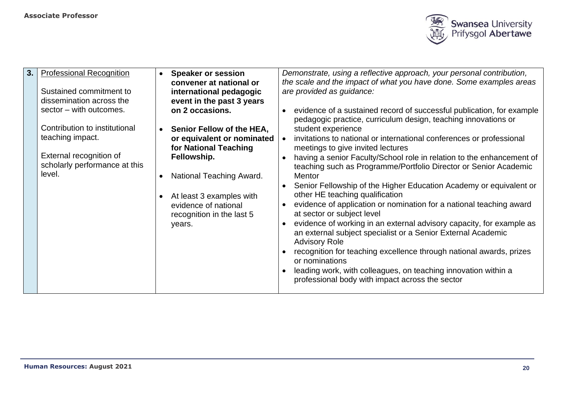

| <b>Professional Recognition</b><br><b>Speaker or session</b><br>$\bullet$<br>convener at national or<br>Sustained commitment to<br>international pedagogic<br>dissemination across the<br>event in the past 3 years<br>sector - with outcomes.<br>on 2 occasions.<br>Contribution to institutional<br>Senior Fellow of the HEA,<br>$\bullet$<br>teaching impact.<br>or equivalent or nominated<br>for National Teaching<br>External recognition of<br>Fellowship.<br>scholarly performance at this<br>level.<br>National Teaching Award.<br>$\bullet$<br>At least 3 examples with<br>$\bullet$<br>evidence of national<br>recognition in the last 5<br>years. | Demonstrate, using a reflective approach, your personal contribution,<br>the scale and the impact of what you have done. Some examples areas<br>are provided as guidance:<br>evidence of a sustained record of successful publication, for example<br>pedagogic practice, curriculum design, teaching innovations or<br>student experience<br>invitations to national or international conferences or professional<br>meetings to give invited lectures<br>having a senior Faculty/School role in relation to the enhancement of<br>teaching such as Programme/Portfolio Director or Senior Academic<br><b>Mentor</b><br>Senior Fellowship of the Higher Education Academy or equivalent or<br>other HE teaching qualification<br>evidence of application or nomination for a national teaching award<br>at sector or subject level<br>evidence of working in an external advisory capacity, for example as<br>an external subject specialist or a Senior External Academic<br><b>Advisory Role</b><br>recognition for teaching excellence through national awards, prizes<br>or nominations<br>leading work, with colleagues, on teaching innovation within a<br>professional body with impact across the sector |
|---------------------------------------------------------------------------------------------------------------------------------------------------------------------------------------------------------------------------------------------------------------------------------------------------------------------------------------------------------------------------------------------------------------------------------------------------------------------------------------------------------------------------------------------------------------------------------------------------------------------------------------------------------------|-------------------------------------------------------------------------------------------------------------------------------------------------------------------------------------------------------------------------------------------------------------------------------------------------------------------------------------------------------------------------------------------------------------------------------------------------------------------------------------------------------------------------------------------------------------------------------------------------------------------------------------------------------------------------------------------------------------------------------------------------------------------------------------------------------------------------------------------------------------------------------------------------------------------------------------------------------------------------------------------------------------------------------------------------------------------------------------------------------------------------------------------------------------------------------------------------------------------|
|---------------------------------------------------------------------------------------------------------------------------------------------------------------------------------------------------------------------------------------------------------------------------------------------------------------------------------------------------------------------------------------------------------------------------------------------------------------------------------------------------------------------------------------------------------------------------------------------------------------------------------------------------------------|-------------------------------------------------------------------------------------------------------------------------------------------------------------------------------------------------------------------------------------------------------------------------------------------------------------------------------------------------------------------------------------------------------------------------------------------------------------------------------------------------------------------------------------------------------------------------------------------------------------------------------------------------------------------------------------------------------------------------------------------------------------------------------------------------------------------------------------------------------------------------------------------------------------------------------------------------------------------------------------------------------------------------------------------------------------------------------------------------------------------------------------------------------------------------------------------------------------------|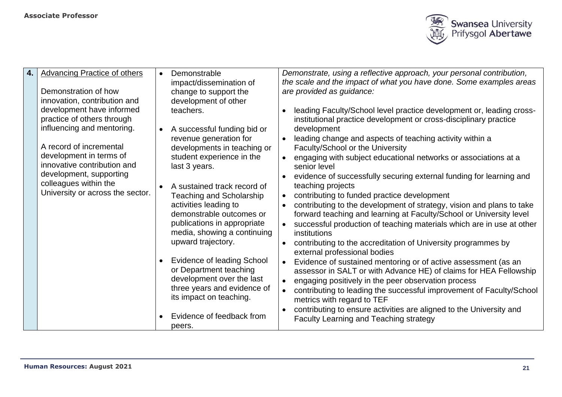

| 4. | <b>Advancing Practice of others</b>                                                                                                                                                                                                                                                                                        | Demonstrable<br>impact/dissemination of                                                                                                                                                                                                                                                                                                                                                                                                                                                                                                                           | Demonstrate, using a reflective approach, your personal contribution,<br>the scale and the impact of what you have done. Some examples areas                                                                                                                                                                                                                                                                                                                                                                                                                                                                                                                                                                                                                                                                                                                                                                                                                                                                                                                                                                                                                                                                                                                                    |  |
|----|----------------------------------------------------------------------------------------------------------------------------------------------------------------------------------------------------------------------------------------------------------------------------------------------------------------------------|-------------------------------------------------------------------------------------------------------------------------------------------------------------------------------------------------------------------------------------------------------------------------------------------------------------------------------------------------------------------------------------------------------------------------------------------------------------------------------------------------------------------------------------------------------------------|---------------------------------------------------------------------------------------------------------------------------------------------------------------------------------------------------------------------------------------------------------------------------------------------------------------------------------------------------------------------------------------------------------------------------------------------------------------------------------------------------------------------------------------------------------------------------------------------------------------------------------------------------------------------------------------------------------------------------------------------------------------------------------------------------------------------------------------------------------------------------------------------------------------------------------------------------------------------------------------------------------------------------------------------------------------------------------------------------------------------------------------------------------------------------------------------------------------------------------------------------------------------------------|--|
|    | Demonstration of how<br>innovation, contribution and<br>development have informed<br>practice of others through<br>influencing and mentoring.<br>A record of incremental<br>development in terms of<br>innovative contribution and<br>development, supporting<br>colleagues within the<br>University or across the sector. | change to support the<br>development of other<br>teachers.<br>A successful funding bid or<br>revenue generation for<br>developments in teaching or<br>student experience in the<br>last 3 years.<br>A sustained track record of<br><b>Teaching and Scholarship</b><br>activities leading to<br>demonstrable outcomes or<br>publications in appropriate<br>media, showing a continuing<br>upward trajectory.<br><b>Evidence of leading School</b><br>or Department teaching<br>development over the last<br>three years and evidence of<br>its impact on teaching. | are provided as guidance:<br>leading Faculty/School level practice development or, leading cross-<br>$\bullet$<br>institutional practice development or cross-disciplinary practice<br>development<br>leading change and aspects of teaching activity within a<br>Faculty/School or the University<br>engaging with subject educational networks or associations at a<br>senior level<br>evidence of successfully securing external funding for learning and<br>teaching projects<br>contributing to funded practice development<br>$\bullet$<br>contributing to the development of strategy, vision and plans to take<br>forward teaching and learning at Faculty/School or University level<br>successful production of teaching materials which are in use at other<br>institutions<br>contributing to the accreditation of University programmes by<br>$\bullet$<br>external professional bodies<br>Evidence of sustained mentoring or of active assessment (as an<br>assessor in SALT or with Advance HE) of claims for HEA Fellowship<br>engaging positively in the peer observation process<br>contributing to leading the successful improvement of Faculty/School<br>metrics with regard to TEF<br>contributing to ensure activities are aligned to the University and |  |
|    |                                                                                                                                                                                                                                                                                                                            | Evidence of feedback from<br>peers.                                                                                                                                                                                                                                                                                                                                                                                                                                                                                                                               | Faculty Learning and Teaching strategy                                                                                                                                                                                                                                                                                                                                                                                                                                                                                                                                                                                                                                                                                                                                                                                                                                                                                                                                                                                                                                                                                                                                                                                                                                          |  |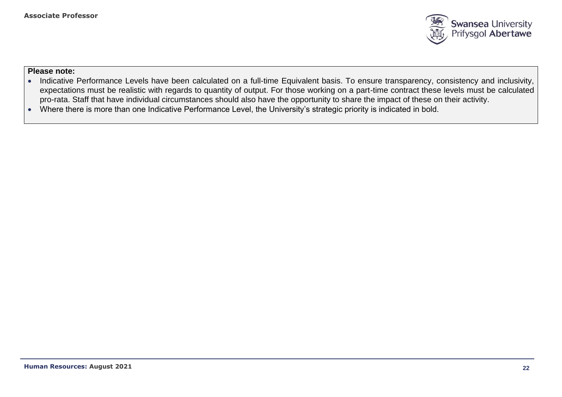

- Indicative Performance Levels have been calculated on a full-time Equivalent basis. To ensure transparency, consistency and inclusivity, expectations must be realistic with regards to quantity of output. For those working on a part-time contract these levels must be calculated pro-rata. Staff that have individual circumstances should also have the opportunity to share the impact of these on their activity.
- Where there is more than one Indicative Performance Level, the University's strategic priority is indicated in bold.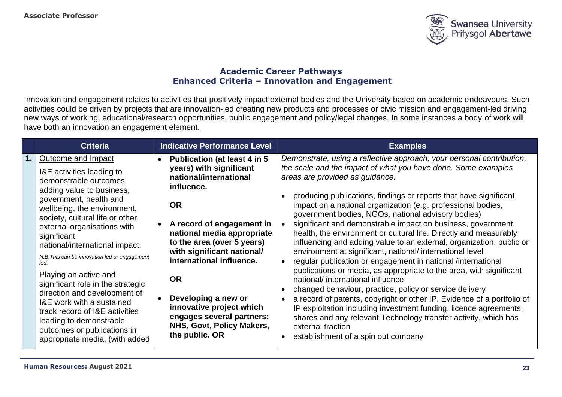

## **Academic Career Pathways Enhanced Criteria – Innovation and Engagement**

Innovation and engagement relates to activities that positively impact external bodies and the University based on academic endeavours. Such activities could be driven by projects that are innovation-led creating new products and processes or civic mission and engagement-led driving new ways of working, educational/research opportunities, public engagement and policy/legal changes. In some instances a body of work will have both an innovation an engagement element.

| <b>Criteria</b>                                                                                                                                                                                                                                                                                                                                                                                                                                                                                                                                                                                     | <b>Indicative Performance Level</b>                                                                                                                                                                                                                                                                                                                                                                                | <b>Examples</b>                                                                                                                                                                                                                                                                                                                                                                                                                                                                                                                                                                                                                                                                                                                                                                                                                                                                                                                                                                                                                                                                                                                                                                  |
|-----------------------------------------------------------------------------------------------------------------------------------------------------------------------------------------------------------------------------------------------------------------------------------------------------------------------------------------------------------------------------------------------------------------------------------------------------------------------------------------------------------------------------------------------------------------------------------------------------|--------------------------------------------------------------------------------------------------------------------------------------------------------------------------------------------------------------------------------------------------------------------------------------------------------------------------------------------------------------------------------------------------------------------|----------------------------------------------------------------------------------------------------------------------------------------------------------------------------------------------------------------------------------------------------------------------------------------------------------------------------------------------------------------------------------------------------------------------------------------------------------------------------------------------------------------------------------------------------------------------------------------------------------------------------------------------------------------------------------------------------------------------------------------------------------------------------------------------------------------------------------------------------------------------------------------------------------------------------------------------------------------------------------------------------------------------------------------------------------------------------------------------------------------------------------------------------------------------------------|
| Outcome and Impact<br>I&E activities leading to<br>demonstrable outcomes<br>adding value to business,<br>government, health and<br>wellbeing, the environment,<br>society, cultural life or other<br>external organisations with<br>significant<br>national/international impact.<br>N.B. This can be innovation led or engagement<br>led.<br>Playing an active and<br>significant role in the strategic<br>direction and development of<br>I&E work with a sustained<br>track record of I&E activities<br>leading to demonstrable<br>outcomes or publications in<br>appropriate media, (with added | <b>Publication (at least 4 in 5</b><br>years) with significant<br>national/international<br>influence.<br><b>OR</b><br>A record of engagement in<br>national media appropriate<br>to the area (over 5 years)<br>with significant national/<br>international influence.<br><b>OR</b><br>Developing a new or<br>innovative project which<br>engages several partners:<br>NHS, Govt, Policy Makers,<br>the public. OR | Demonstrate, using a reflective approach, your personal contribution,<br>the scale and the impact of what you have done. Some examples<br>areas are provided as guidance:<br>producing publications, findings or reports that have significant<br>impact on a national organization (e.g. professional bodies,<br>government bodies, NGOs, national advisory bodies)<br>significant and demonstrable impact on business, government,<br>health, the environment or cultural life. Directly and measurably<br>influencing and adding value to an external, organization, public or<br>environment at significant, national/ international level<br>regular publication or engagement in national /international<br>$\bullet$<br>publications or media, as appropriate to the area, with significant<br>national/ international influence<br>changed behaviour, practice, policy or service delivery<br>a record of patents, copyright or other IP. Evidence of a portfolio of<br>IP exploitation including investment funding, licence agreements,<br>shares and any relevant Technology transfer activity, which has<br>external traction<br>establishment of a spin out company |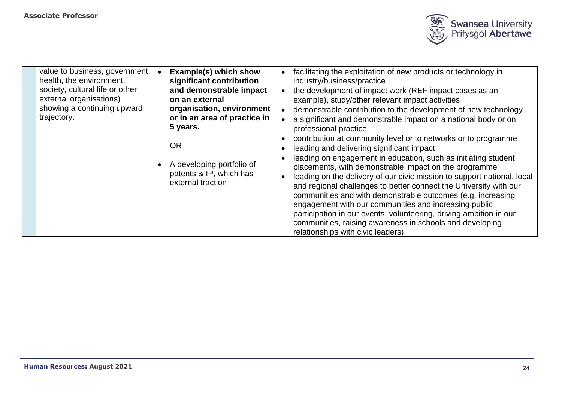

| value to business, government,<br>health, the environment,<br>society, cultural life or other<br>external organisations)<br>showing a continuing upward<br>trajectory. | Example(s) which show<br>significant contribution<br>and demonstrable impact<br>on an external<br>organisation, environment<br>or in an area of practice in<br>5 years.<br><b>OR</b><br>A developing portfolio of<br>patents & IP, which has<br>external traction | facilitating the exploitation of new products or technology in<br>industry/business/practice<br>the development of impact work (REF impact cases as an<br>example), study/other relevant impact activities<br>demonstrable contribution to the development of new technology<br>a significant and demonstrable impact on a national body or on<br>professional practice<br>contribution at community level or to networks or to programme<br>leading and delivering significant impact<br>leading on engagement in education, such as initiating student<br>placements, with demonstrable impact on the programme<br>leading on the delivery of our civic mission to support national, local<br>and regional challenges to better connect the University with our<br>communities and with demonstrable outcomes (e.g. increasing<br>engagement with our communities and increasing public<br>participation in our events, volunteering, driving ambition in our<br>communities, raising awareness in schools and developing<br>relationships with civic leaders) |
|------------------------------------------------------------------------------------------------------------------------------------------------------------------------|-------------------------------------------------------------------------------------------------------------------------------------------------------------------------------------------------------------------------------------------------------------------|------------------------------------------------------------------------------------------------------------------------------------------------------------------------------------------------------------------------------------------------------------------------------------------------------------------------------------------------------------------------------------------------------------------------------------------------------------------------------------------------------------------------------------------------------------------------------------------------------------------------------------------------------------------------------------------------------------------------------------------------------------------------------------------------------------------------------------------------------------------------------------------------------------------------------------------------------------------------------------------------------------------------------------------------------------------|
|------------------------------------------------------------------------------------------------------------------------------------------------------------------------|-------------------------------------------------------------------------------------------------------------------------------------------------------------------------------------------------------------------------------------------------------------------|------------------------------------------------------------------------------------------------------------------------------------------------------------------------------------------------------------------------------------------------------------------------------------------------------------------------------------------------------------------------------------------------------------------------------------------------------------------------------------------------------------------------------------------------------------------------------------------------------------------------------------------------------------------------------------------------------------------------------------------------------------------------------------------------------------------------------------------------------------------------------------------------------------------------------------------------------------------------------------------------------------------------------------------------------------------|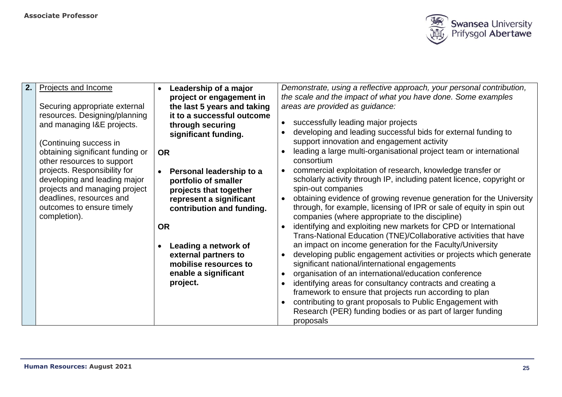

| 2. | Projects and Income                                                                                                                                                                                                                                                                                                                                                | Leadership of a major<br>$\bullet$                                                                                                                                                                                                                                                                                                                                                                                          | Demonstrate, using a reflective approach, your personal contribution,                                                                                                                                                                                                                                                                                                                                                                                                                                                                                                                                                                                                                                                                                                                                                                                                                                                                                                                                                                                                                                                                                                                                                                                                                                                                                             |
|----|--------------------------------------------------------------------------------------------------------------------------------------------------------------------------------------------------------------------------------------------------------------------------------------------------------------------------------------------------------------------|-----------------------------------------------------------------------------------------------------------------------------------------------------------------------------------------------------------------------------------------------------------------------------------------------------------------------------------------------------------------------------------------------------------------------------|-------------------------------------------------------------------------------------------------------------------------------------------------------------------------------------------------------------------------------------------------------------------------------------------------------------------------------------------------------------------------------------------------------------------------------------------------------------------------------------------------------------------------------------------------------------------------------------------------------------------------------------------------------------------------------------------------------------------------------------------------------------------------------------------------------------------------------------------------------------------------------------------------------------------------------------------------------------------------------------------------------------------------------------------------------------------------------------------------------------------------------------------------------------------------------------------------------------------------------------------------------------------------------------------------------------------------------------------------------------------|
|    | Securing appropriate external<br>resources. Designing/planning<br>and managing I&E projects.<br>(Continuing success in<br>obtaining significant funding or<br>other resources to support<br>projects. Responsibility for<br>developing and leading major<br>projects and managing project<br>deadlines, resources and<br>outcomes to ensure timely<br>completion). | project or engagement in<br>the last 5 years and taking<br>it to a successful outcome<br>through securing<br>significant funding.<br><b>OR</b><br>Personal leadership to a<br>portfolio of smaller<br>projects that together<br>represent a significant<br>contribution and funding.<br><b>OR</b><br>Leading a network of<br>$\bullet$<br>external partners to<br>mobilise resources to<br>enable a significant<br>project. | the scale and the impact of what you have done. Some examples<br>areas are provided as guidance:<br>successfully leading major projects<br>developing and leading successful bids for external funding to<br>support innovation and engagement activity<br>leading a large multi-organisational project team or international<br>consortium<br>commercial exploitation of research, knowledge transfer or<br>scholarly activity through IP, including patent licence, copyright or<br>spin-out companies<br>obtaining evidence of growing revenue generation for the University<br>through, for example, licensing of IPR or sale of equity in spin out<br>companies (where appropriate to the discipline)<br>identifying and exploiting new markets for CPD or International<br>Trans-National Education (TNE)/Collaborative activities that have<br>an impact on income generation for the Faculty/University<br>developing public engagement activities or projects which generate<br>significant national/international engagements<br>organisation of an international/education conference<br>identifying areas for consultancy contracts and creating a<br>framework to ensure that projects run according to plan<br>contributing to grant proposals to Public Engagement with<br>Research (PER) funding bodies or as part of larger funding<br>proposals |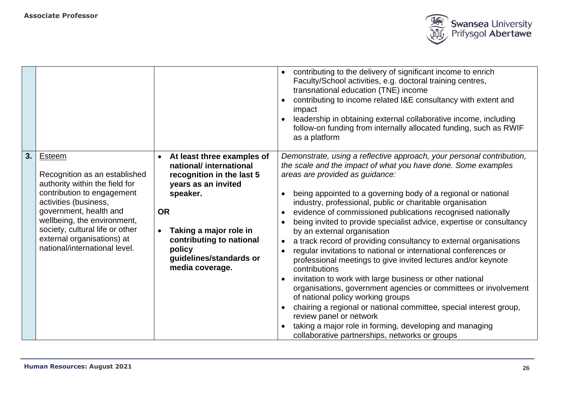

|    |                                                                                                                                                                                                                                                                                             |                                                                                                                                                                                                                                                              | contributing to the delivery of significant income to enrich<br>$\bullet$<br>Faculty/School activities, e.g. doctoral training centres,<br>transnational education (TNE) income<br>contributing to income related I&E consultancy with extent and<br>$\bullet$<br>impact                                                                                                                                                                                                                                                                                                                                                                                                                                                                                                                                                                                                                                                                                                                                                                                                                                                                      |
|----|---------------------------------------------------------------------------------------------------------------------------------------------------------------------------------------------------------------------------------------------------------------------------------------------|--------------------------------------------------------------------------------------------------------------------------------------------------------------------------------------------------------------------------------------------------------------|-----------------------------------------------------------------------------------------------------------------------------------------------------------------------------------------------------------------------------------------------------------------------------------------------------------------------------------------------------------------------------------------------------------------------------------------------------------------------------------------------------------------------------------------------------------------------------------------------------------------------------------------------------------------------------------------------------------------------------------------------------------------------------------------------------------------------------------------------------------------------------------------------------------------------------------------------------------------------------------------------------------------------------------------------------------------------------------------------------------------------------------------------|
|    |                                                                                                                                                                                                                                                                                             |                                                                                                                                                                                                                                                              | leadership in obtaining external collaborative income, including<br>follow-on funding from internally allocated funding, such as RWIF<br>as a platform                                                                                                                                                                                                                                                                                                                                                                                                                                                                                                                                                                                                                                                                                                                                                                                                                                                                                                                                                                                        |
| 3. | Esteem<br>Recognition as an established<br>authority within the field for<br>contribution to engagement<br>activities (business,<br>government, health and<br>wellbeing, the environment,<br>society, cultural life or other<br>external organisations) at<br>national/international level. | At least three examples of<br>$\bullet$<br>national/international<br>recognition in the last 5<br>years as an invited<br>speaker.<br><b>OR</b><br>Taking a major role in<br>contributing to national<br>policy<br>guidelines/standards or<br>media coverage. | Demonstrate, using a reflective approach, your personal contribution,<br>the scale and the impact of what you have done. Some examples<br>areas are provided as guidance:<br>being appointed to a governing body of a regional or national<br>$\bullet$<br>industry, professional, public or charitable organisation<br>evidence of commissioned publications recognised nationally<br>$\bullet$<br>being invited to provide specialist advice, expertise or consultancy<br>$\bullet$<br>by an external organisation<br>a track record of providing consultancy to external organisations<br>regular invitations to national or international conferences or<br>$\bullet$<br>professional meetings to give invited lectures and/or keynote<br>contributions<br>invitation to work with large business or other national<br>organisations, government agencies or committees or involvement<br>of national policy working groups<br>chairing a regional or national committee, special interest group,<br>review panel or network<br>taking a major role in forming, developing and managing<br>collaborative partnerships, networks or groups |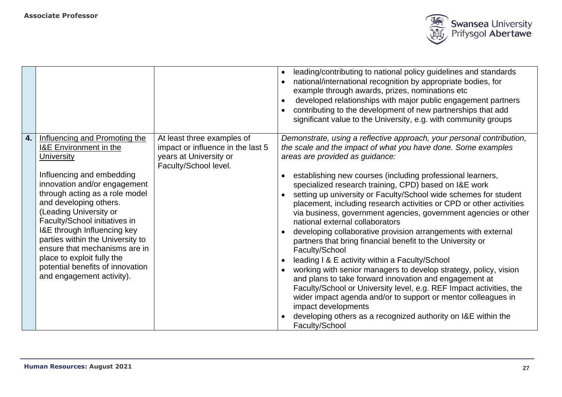

|    |                                                                                                                                                                                                                                                                                                                                                                                                                                                                                |                                                                                                                    | leading/contributing to national policy guidelines and standards<br>$\bullet$<br>national/international recognition by appropriate bodies, for<br>example through awards, prizes, nominations etc<br>developed relationships with major public engagement partners<br>contributing to the development of new partnerships that add<br>significant value to the University, e.g. with community groups                                                                                                                                                                                                                                                                                                                                                                                                                                                                                                                                                                                                                                                                                                                                |
|----|--------------------------------------------------------------------------------------------------------------------------------------------------------------------------------------------------------------------------------------------------------------------------------------------------------------------------------------------------------------------------------------------------------------------------------------------------------------------------------|--------------------------------------------------------------------------------------------------------------------|--------------------------------------------------------------------------------------------------------------------------------------------------------------------------------------------------------------------------------------------------------------------------------------------------------------------------------------------------------------------------------------------------------------------------------------------------------------------------------------------------------------------------------------------------------------------------------------------------------------------------------------------------------------------------------------------------------------------------------------------------------------------------------------------------------------------------------------------------------------------------------------------------------------------------------------------------------------------------------------------------------------------------------------------------------------------------------------------------------------------------------------|
| 4. | Influencing and Promoting the<br><b>I&amp;E</b> Environment in the<br><b>University</b><br>Influencing and embedding<br>innovation and/or engagement<br>through acting as a role model<br>and developing others.<br>(Leading University or<br>Faculty/School initiatives in<br>I&E through Influencing key<br>parties within the University to<br>ensure that mechanisms are in<br>place to exploit fully the<br>potential benefits of innovation<br>and engagement activity). | At least three examples of<br>impact or influence in the last 5<br>years at University or<br>Faculty/School level. | Demonstrate, using a reflective approach, your personal contribution,<br>the scale and the impact of what you have done. Some examples<br>areas are provided as guidance:<br>establishing new courses (including professional learners,<br>specialized research training, CPD) based on I&E work<br>setting up university or Faculty/School wide schemes for student<br>placement, including research activities or CPD or other activities<br>via business, government agencies, government agencies or other<br>national external collaborators<br>developing collaborative provision arrangements with external<br>partners that bring financial benefit to the University or<br>Faculty/School<br>leading I & E activity within a Faculty/School<br>working with senior managers to develop strategy, policy, vision<br>and plans to take forward innovation and engagement at<br>Faculty/School or University level, e.g. REF Impact activities, the<br>wider impact agenda and/or to support or mentor colleagues in<br>impact developments<br>developing others as a recognized authority on I&E within the<br>Faculty/School |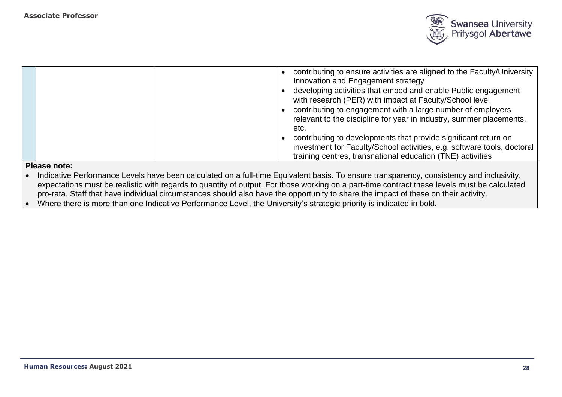

|              | contributing to ensure activities are aligned to the Faculty/University  <br>Innovation and Engagement strategy<br>developing activities that embed and enable Public engagement<br>with research (PER) with impact at Faculty/School level<br>contributing to engagement with a large number of employers<br>relevant to the discipline for year in industry, summer placements,<br>etc.<br>contributing to developments that provide significant return on<br>investment for Faculty/School activities, e.g. software tools, doctoral<br>training centres, transnational education (TNE) activities |
|--------------|-------------------------------------------------------------------------------------------------------------------------------------------------------------------------------------------------------------------------------------------------------------------------------------------------------------------------------------------------------------------------------------------------------------------------------------------------------------------------------------------------------------------------------------------------------------------------------------------------------|
| Please note: |                                                                                                                                                                                                                                                                                                                                                                                                                                                                                                                                                                                                       |

- Indicative Performance Levels have been calculated on a full-time Equivalent basis. To ensure transparency, consistency and inclusivity, expectations must be realistic with regards to quantity of output. For those working on a part-time contract these levels must be calculated pro-rata. Staff that have individual circumstances should also have the opportunity to share the impact of these on their activity.
- Where there is more than one Indicative Performance Level, the University's strategic priority is indicated in bold.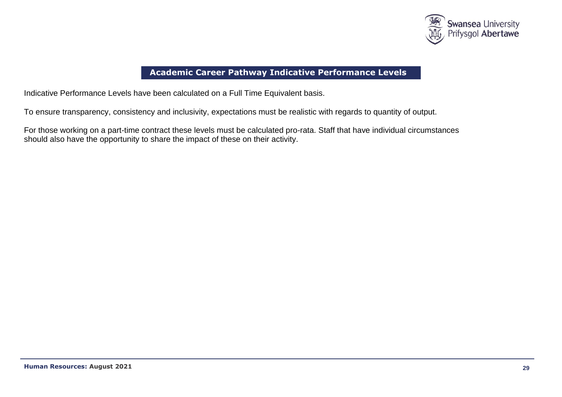

# **Academic Career Pathway Indicative Performance Levels**

Indicative Performance Levels have been calculated on a Full Time Equivalent basis.

To ensure transparency, consistency and inclusivity, expectations must be realistic with regards to quantity of output.

For those working on a part-time contract these levels must be calculated pro-rata. Staff that have individual circumstances should also have the opportunity to share the impact of these on their activity.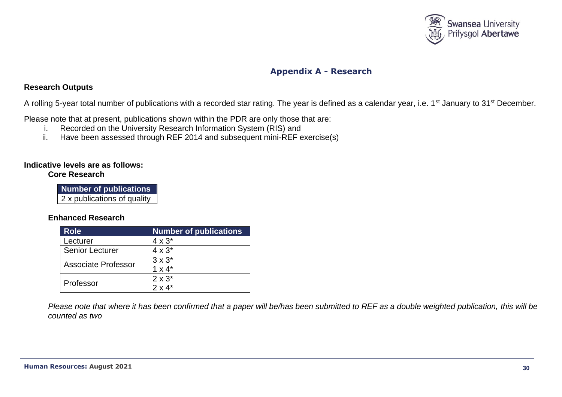

# **Appendix A - Research**

### **Research Outputs**

A rolling 5-year total number of publications with a recorded star rating. The year is defined as a calendar year, i.e. 1<sup>st</sup> January to 31<sup>st</sup> December.

Please note that at present, publications shown within the PDR are only those that are:

- i. Recorded on the University Research Information System (RIS) and
- ii. Have been assessed through REF 2014 and subsequent mini-REF exercise(s)

#### **Indicative levels are as follows: Core Research**

| <b>Number of publications</b> |  |
|-------------------------------|--|
| 2 x publications of quality   |  |

### **Enhanced Research**

| <b>Role</b>            | <b>Number of publications</b> |
|------------------------|-------------------------------|
| Lecturer               | $4 \times 3^*$                |
| <b>Senior Lecturer</b> | $4 \times 3^*$                |
| Associate Professor    | $3 \times 3^*$                |
|                        | $1 \times 4^*$                |
| Professor              | $2 \times 3^*$                |
|                        | $2 \times 4^*$                |

*Please note that where it has been confirmed that a paper will be/has been submitted to REF as a double weighted publication, this will be counted as two*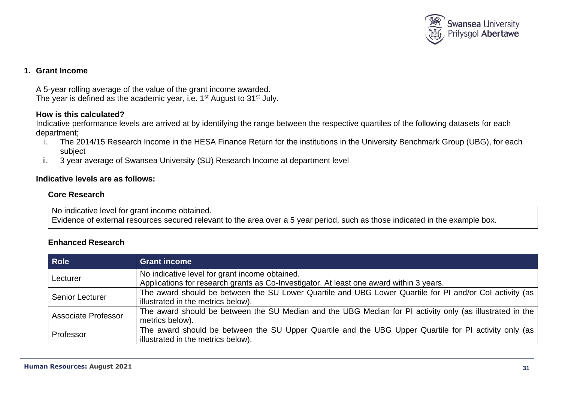

## **1. Grant Income**

A 5-year rolling average of the value of the grant income awarded. The year is defined as the academic year, i.e. 1<sup>st</sup> August to 31<sup>st</sup> July.

## **How is this calculated?**

Indicative performance levels are arrived at by identifying the range between the respective quartiles of the following datasets for each department;

- i. The 2014/15 Research Income in the HESA Finance Return for the institutions in the University Benchmark Group (UBG), for each subject
- ii. 3 year average of Swansea University (SU) Research Income at department level

### **Indicative levels are as follows:**

### **Core Research**

No indicative level for grant income obtained. Evidence of external resources secured relevant to the area over a 5 year period, such as those indicated in the example box.

## **Enhanced Research**

| <b>Role</b>            | <b>Grant income</b>                                                                                                                           |
|------------------------|-----------------------------------------------------------------------------------------------------------------------------------------------|
| Lecturer               | No indicative level for grant income obtained.<br>Applications for research grants as Co-Investigator. At least one award within 3 years.     |
| <b>Senior Lecturer</b> | The award should be between the SU Lower Quartile and UBG Lower Quartile for PI and/or Col activity (as<br>illustrated in the metrics below). |
| Associate Professor    | The award should be between the SU Median and the UBG Median for PI activity only (as illustrated in the  <br>metrics below).                 |
| Professor              | The award should be between the SU Upper Quartile and the UBG Upper Quartile for PI activity only (as<br>illustrated in the metrics below).   |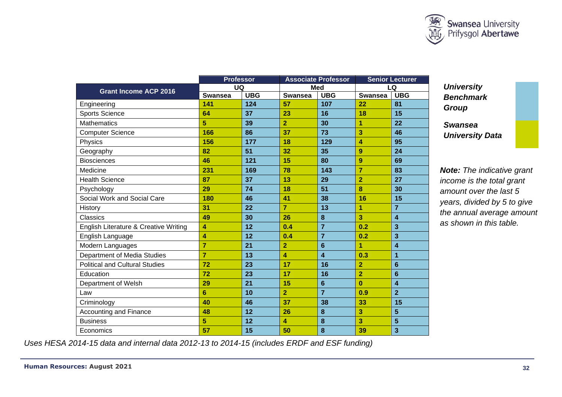

|                                       | <b>Professor</b> |            | <b>Associate Professor</b> |                         | <b>Senior Lecturer</b> |                         |
|---------------------------------------|------------------|------------|----------------------------|-------------------------|------------------------|-------------------------|
| <b>Grant Income ACP 2016</b>          | UQ               |            | <b>Med</b>                 |                         | LQ                     |                         |
|                                       | <b>Swansea</b>   | <b>UBG</b> | <b>Swansea</b>             | <b>UBG</b>              | <b>Swansea</b>         | <b>UBG</b>              |
| Engineering                           | 141              | 124        | 57                         | 107                     | 22                     | 81                      |
| <b>Sports Science</b>                 | 64               | 37         | 23                         | 16                      | 18                     | 15                      |
| <b>Mathematics</b>                    | 5                | 39         | $\overline{2}$             | 30                      | 1                      | 22                      |
| <b>Computer Science</b>               | 166              | 86         | 37                         | 73                      | 3                      | 46                      |
| Physics                               | 156              | 177        | 18                         | 129                     | 4                      | 95                      |
| Geography                             | 82               | 51         | 32                         | 35                      | 9                      | 24                      |
| <b>Biosciences</b>                    | 46               | 121        | 15                         | 80                      | 9                      | 69                      |
| Medicine                              | 231              | 169        | 78                         | 143                     | 7                      | 83                      |
| <b>Health Science</b>                 | 87               | 37         | 13                         | 29                      | $\overline{2}$         | 27                      |
| Psychology                            | 29               | 74         | 18                         | 51                      | 8                      | 30                      |
| Social Work and Social Care           | 180              | 46         | 41                         | 38                      | 16                     | 15                      |
| History                               | 31               | 22         | $\overline{7}$             | 13                      | 1                      | $\overline{7}$          |
| Classics                              | 49               | 30         | 26                         | $\boldsymbol{8}$        | 3                      | 4                       |
| English Literature & Creative Writing | 4                | 12         | 0.4                        | $\overline{7}$          | 0.2                    | 3                       |
| English Language                      | 4                | 12         | 0.4                        | $\overline{7}$          | 0.2                    | 3                       |
| Modern Languages                      | $\overline{7}$   | 21         | $\overline{2}$             | $6\phantom{1}6$         | 1                      | $\overline{\mathbf{A}}$ |
| Department of Media Studies           | 7                | 13         | 4                          | $\overline{\mathbf{4}}$ | 0.3                    | 1                       |
| <b>Political and Cultural Studies</b> | 72               | 23         | 17                         | 16                      | $\overline{2}$         | 6                       |
| Education                             | 72               | 23         | 17                         | 16                      | $\overline{2}$         | 6                       |
| Department of Welsh                   | 29               | 21         | 15                         | $6\phantom{1}6$         | $\bf{0}$               | $\overline{\mathbf{4}}$ |
| Law                                   | 6                | 10         | $\overline{2}$             | $\overline{7}$          | 0.9                    | $\overline{2}$          |
| Criminology                           | 40               | 46         | 37                         | 38                      | 33                     | 15                      |
| <b>Accounting and Finance</b>         | 48               | 12         | 26                         | $\boldsymbol{8}$        | 3                      | $5\phantom{1}$          |
| <b>Business</b>                       | 5                | 12         | 4                          | 8                       | 3                      | 5                       |
| Economics                             | 57               | 15         | 50                         | 8                       | 39                     | 3                       |

*University Benchmark Group*

*Swansea University Data*

*Note: The indicative grant income is the total grant amount over the last 5 years, divided by 5 to give the annual average amount as shown in this table.*

 *Uses HESA 2014-15 data and internal data 2012-13 to 2014-15 (includes ERDF and ESF funding)*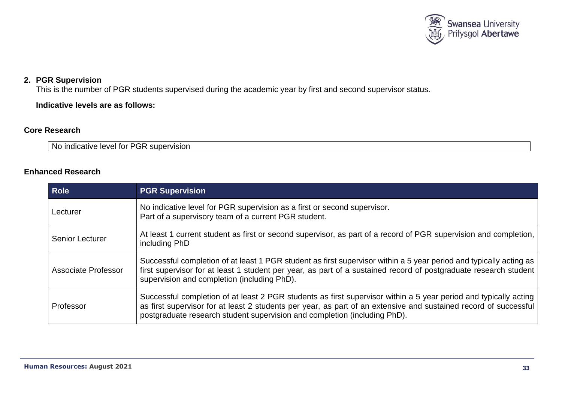

## **2. PGR Supervision**

This is the number of PGR students supervised during the academic year by first and second supervisor status.

**Indicative levels are as follows:**

## **Core Research**

No indicative level for PGR supervision

## **Enhanced Research**

| <b>Role</b>            | <b>PGR Supervision</b>                                                                                                                                                                                                                                                                                            |
|------------------------|-------------------------------------------------------------------------------------------------------------------------------------------------------------------------------------------------------------------------------------------------------------------------------------------------------------------|
| Lecturer               | No indicative level for PGR supervision as a first or second supervisor.<br>Part of a supervisory team of a current PGR student.                                                                                                                                                                                  |
| <b>Senior Lecturer</b> | At least 1 current student as first or second supervisor, as part of a record of PGR supervision and completion,<br>including PhD                                                                                                                                                                                 |
| Associate Professor    | Successful completion of at least 1 PGR student as first supervisor within a 5 year period and typically acting as<br>first supervisor for at least 1 student per year, as part of a sustained record of postgraduate research student<br>supervision and completion (including PhD).                             |
| Professor              | Successful completion of at least 2 PGR students as first supervisor within a 5 year period and typically acting<br>as first supervisor for at least 2 students per year, as part of an extensive and sustained record of successful<br>postgraduate research student supervision and completion (including PhD). |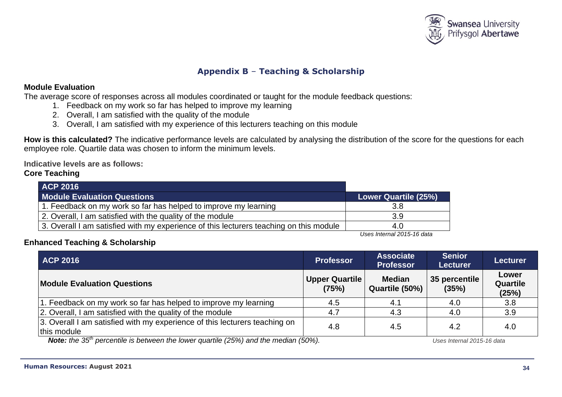

# **Appendix B** – **Teaching & Scholarship**

### **Module Evaluation**

The average score of responses across all modules coordinated or taught for the module feedback questions:

- 1. Feedback on my work so far has helped to improve my learning
- 2. Overall, I am satisfied with the quality of the module
- 3. Overall, I am satisfied with my experience of this lecturers teaching on this module

**How is this calculated?** The indicative performance levels are calculated by analysing the distribution of the score for the questions for each employee role. Quartile data was chosen to inform the minimum levels.

**Indicative levels are as follows:** 

## **Core Teaching**

| <b>ACP 2016</b>                                                                        |                      |
|----------------------------------------------------------------------------------------|----------------------|
| <b>Module Evaluation Questions</b>                                                     | Lower Quartile (25%) |
| 1. Feedback on my work so far has helped to improve my learning                        | 3.8                  |
| 2. Overall, I am satisfied with the quality of the module                              | 3.9                  |
| 3. Overall I am satisfied with my experience of this lecturers teaching on this module | 4.0                  |

*Uses Internal 2015-16 data*

## **Enhanced Teaching & Scholarship**

| <b>ACP 2016</b>                                                                                | <b>Professor</b>               | <b>Associate</b><br><b>Professor</b> | <b>Senior</b><br><b>Lecturer</b>     | <b>Lecturer</b>                   |
|------------------------------------------------------------------------------------------------|--------------------------------|--------------------------------------|--------------------------------------|-----------------------------------|
| <b>Module Evaluation Questions</b>                                                             | <b>Upper Quartile</b><br>(75%) | <b>Median</b><br>Quartile (50%)      | 35 percentile<br>(35%)               | Lower<br><b>Quartile</b><br>(25%) |
| 1. Feedback on my work so far has helped to improve my learning                                | 4.5                            | 4.1                                  | 4.0                                  | 3.8                               |
| 2. Overall, I am satisfied with the quality of the module                                      | 4.7                            | 4.3                                  | 4.0                                  | 3.9                               |
| 3. Overall I am satisfied with my experience of this lecturers teaching on<br>this module      | 4.8                            | 4.5                                  | 4.2                                  | 4.0                               |
| Note: the $35^{th}$ perceptile is between the lewer quartile $(250/1)$ and the median $(50\%)$ |                                |                                      | $1$ loon $Intornol$ $2015$ $16$ dota |                                   |

*Note: the 35th percentile is between the lower quartile (25%) and the median (50%). Uses Internal 2015-16 data*